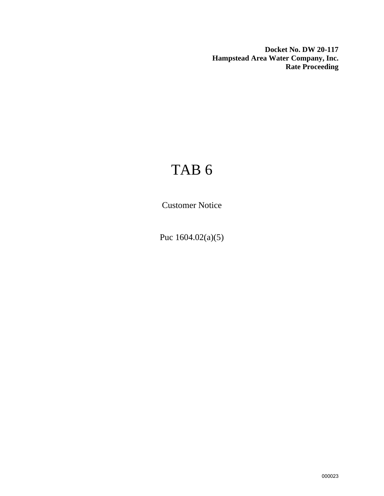**Docket No. DW 20-117 Hampstead Area Water Company, Inc. Rate Proceeding**

## TAB 6

Customer Notice

Puc 1604.02(a)(5)